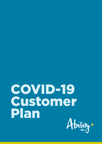# COVID-19 Customer PlanAbility\*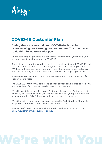

# COVID-19 Customer Plan

#### **During these uncertain times of COVID-19, it can be overwhelming not knowing how to prepare. You don't have to do this alone,** We're with you.

On the following pages there is a checklist of questions for you to help you prepare should life change due to COVID 19.

Some of the preparation you do now will be useful well beyond COVID-19 and can help you to respond to other emergency situations. One of your Ability WA Team will contact you or your family over the coming weeks to discuss this checklist with you and to make sure you have the support you need.

It would be a good idea to discuss these questions with your family and/or support coordinator.

The **BLUE ACTION SPACE** at the end of each section can be used to jot down any reminders of actions you need to take to get prepared.

We will store this information in our Customer Management System so that all Ability WA staff delivering your service are aware of your preferences and needs during this COVID time. We will provide you with a copy.

We will provide some useful resources such as the "All About Me" template for you on our Info Hub in our website abilitywa.com.au

Another useful website to help with preparing and planning at any time: [http://futurethinking.abilitycentre.com.au](http://futurethinking.abilitycentre.com.au
)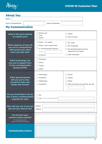

## About You

| <b>Name</b>                                                                                         |                                                                                             |                                                                                            |
|-----------------------------------------------------------------------------------------------------|---------------------------------------------------------------------------------------------|--------------------------------------------------------------------------------------------|
| Form Completed By                                                                                   | <b>Date Completed</b>                                                                       |                                                                                            |
| <b>My Communication</b>                                                                             |                                                                                             |                                                                                            |
| What is the best method<br>to contact you?                                                          | Phone call<br><b>Text</b><br>Email                                                          | Letter<br>Face to face                                                                     |
| What supports (if any) do<br>you use to communicate<br>with people who don't<br>know you that well? | None - I'm verbal<br>None - but I need some<br>A communication device<br>such as<br>A phone | An Ipad<br>My computer<br>My family/support person<br>interprets my needs<br>Sign language |
| <b>What technology can</b><br>you use to support face<br>to face communication<br>during COVID?     | Facetime<br>Zoom<br><b>Teams</b><br>Other                                                   |                                                                                            |
| <b>What apps/programs</b><br>will you use to stay<br>connected with your<br>family and friends?     | Messenger<br>Facetime<br>WhatsApp<br>Snapchat                                               | Zoom<br><b>Teams</b><br>Other<br>Who will help you get this set up?                        |
| Do you need help to set up<br>any of these communication<br>channels for you?                       | <b>No</b><br>Yes - who will help you?                                                       |                                                                                            |
| Who will you call -if you are<br>just not sure what to do?                                          | Name:<br>Phone:                                                                             |                                                                                            |
| Do we have your<br>current contact details?<br>If not, please write<br>them in the box provided     |                                                                                             |                                                                                            |
| <b>Communication Actions</b>                                                                        |                                                                                             |                                                                                            |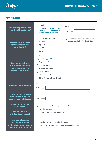

## My Health

| Who is responsible for<br>your health decisions?                                                              | Myself<br>Name<br>Someone else (Please write<br>name and phone number in<br><b>Ph Number</b><br>box provided to the right)                                                             |
|---------------------------------------------------------------------------------------------------------------|----------------------------------------------------------------------------------------------------------------------------------------------------------------------------------------|
| Who helps you make<br>decisions related to<br>your health?                                                    | I don't need any help<br>Please write below the best name<br>contact details for Family/GP/Other<br>No one<br>My Family<br>My GP<br>Other                                              |
| Do you need/have<br>other people to help<br>you to manage your<br>health conditions?                          | $\Box$ No<br>Yes, I need support to:<br><b>Buy my medication</b><br>Give me my tablets<br>Position me safely<br><b>Chest Physio</b><br>On call support<br>Other (nursing/Silver Chain) |
| Who are these people?                                                                                         | Name<br><b>Ph Number</b>                                                                                                                                                               |
| If these people become<br>unavailable who will<br>support you in this area                                    | Name<br>Ph Number                                                                                                                                                                      |
| If you are on regular<br>medications<br>Do you have a<br>printed list of these?                               | Yes I have a list of my regular medications<br>No I do not need this<br>I do not have a list but need one                                                                              |
| <b>Have you discussed</b><br>the supply of these<br>medications over the next<br><b>6 months with your GP</b> | $\Box$ I need a plan for my medication supply<br>$\Box$<br>I have discussed with my GP and do not need a plan                                                                          |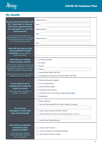

# My Health

| Do you need to contact your<br><b>GP / Specialist to discuss</b><br>how these appointments<br>are managed in a covid 19<br>environment?<br>Do you need to contact your<br>GP/specialist to discuss how these<br>are appointments are managed<br>in a COVID-19 environment<br>How will you stay on top<br>of preventative health<br><b>measures</b> eg vaccinations, | Appointment<br>Plan<br>Appointment<br>Plan<br>Appointment<br>Plan                                                                                                                                |
|---------------------------------------------------------------------------------------------------------------------------------------------------------------------------------------------------------------------------------------------------------------------------------------------------------------------------------------------------------------------|--------------------------------------------------------------------------------------------------------------------------------------------------------------------------------------------------|
| dental checkups<br>Who will you contact                                                                                                                                                                                                                                                                                                                             | A family member                                                                                                                                                                                  |
| if you become unwell?<br>You should contact this person if<br>you develop symptoms. are in self-<br>isolation or have been in contact<br>with a confirmed covid-19 case.<br>Please check how your GP will be<br>working during an outbreak                                                                                                                          | A friend<br>My GP<br>Other<br><b>Health direct 1800 022 222</b><br>Call National Coronavirus Hotline 1800 020 080                                                                                |
| If you need to go to<br>hospital what supports<br>might you need<br>Think about the possibility of<br>limited / no visitors                                                                                                                                                                                                                                         | Physical/personal support<br><b>List of medications</b><br>Phone/IPAD/charger<br><b>Communication device</b><br>"All About me" information (click here for link)<br>Equipment                    |
| Do you have<br>strategies to look after<br>your mental health                                                                                                                                                                                                                                                                                                       | None required<br>I access Psychology/Social work support through:<br>I stay connected with family/ friends<br>I will continue to access community groups, such as:<br>I need to set something up |
| <b>How will you maintain</b><br>or improve your<br>physical health?<br>If you have pain related<br>to your disability, how will<br>this be managed?                                                                                                                                                                                                                 | I have a plan in place<br>I need to speak to my physiotherapist<br>I may need a home program                                                                                                     |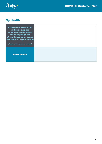

## My Health

| Have you got ways to get<br>sufficient supplies<br>of Protective equipment<br>for when you go out<br>of your house, or for people<br>who come in to your house?<br>(Masks, gloves, hand sanitiser) |  |
|----------------------------------------------------------------------------------------------------------------------------------------------------------------------------------------------------|--|
| <b>Health Actions</b>                                                                                                                                                                              |  |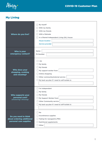

## My Living

| <b>Where do you live?</b>                                                   | By myself<br>With my family<br>With my friends<br>With a flatmate<br>In a Shared Independent Living (SIL) house<br><b>House location</b><br><b>Service provider</b> |
|-----------------------------------------------------------------------------|---------------------------------------------------------------------------------------------------------------------------------------------------------------------|
| Who is your<br>emergency contact?                                           | <b>Name</b><br><b>Ph Number</b>                                                                                                                                     |
| Who does your<br>shopping, cooking<br>and cleaning?                         | I do<br>My family<br>My friends<br>My support worker from<br>Online shopping<br>Other community/external service<br>My back up plan if I need to self-isolate is:   |
| Who supports your<br>personal care?<br>(showering/ dressing)                | I'm independent<br>My family<br>My friends<br>My Support Worker from<br><b>Other Community service</b><br>My back up plan if I need to self-isolate is:             |
| Do you need to think<br>about ordering additional<br>personal care supplies | No<br>Incontinence supplies<br>Tubing for nasogastric/PEG<br><b>Nutritional supplements</b><br>Other                                                                |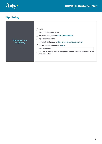

## My Living

| <b>Equipment you</b><br>need daily | None<br>My communication device<br>My mobility equipment (walker/wheelchair)<br>My sleep equipment<br>My nutritional supports (tubes/ nutritional supplements)<br>My positioning equipment (hoist)<br>New equipment<br>Will any of these pieces of equipment require assessment/review in the<br>next 6 months? |
|------------------------------------|-----------------------------------------------------------------------------------------------------------------------------------------------------------------------------------------------------------------------------------------------------------------------------------------------------------------|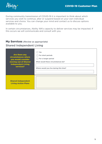$\mathcal{A}$ bility<sup>x</sup>

During community transmission of COVID-19 it is important to think about which services you wish to continue, alter or suspend based on your own individual services and choice. You can change your mind and contact us to discuss options available to you.

In certain circumstances, Ability WA's capacity to deliver services may be impacted. If this occurs we will communicate and consult with you.

#### My Services *(Review as appropriate)* Shared Independent Living

| Are there any<br>circumstances where<br>you would consider<br>moving out of Shared<br><b>Independent Living</b><br>services? | Yes<br>For short periods<br>For a longer period<br>What would these circumstances be?<br>Where would you live during this time? |
|------------------------------------------------------------------------------------------------------------------------------|---------------------------------------------------------------------------------------------------------------------------------|
| <b>Shared Independent</b><br><b>Living Action Plans</b>                                                                      |                                                                                                                                 |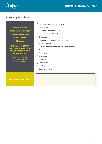

 $\overline{\phantom{a}}$ 

#### Therapy Services

|                                              | I want to stop all therapy services                     |
|----------------------------------------------|---------------------------------------------------------|
| <b>Physiotherapy</b>                         | I would like:                                           |
| <b>Occupational Therapy</b>                  | Individual Face to face (F2F)                           |
| <b>Speech Pathology</b>                      | Individual online (Tele-therapy)                        |
| <b>Social Work</b>                           | Group program (F2F)                                     |
| <b>Dietetics</b>                             | Group program online (Tele-therapy)                     |
|                                              | Home program                                            |
| If there is a COVID<br>outbreak in Perth how | <b>Clinical Specialist appointment (Consultability)</b> |
| will you receive your                        | Assessment                                              |
| therapy services?                            | Frequency                                               |
| It is important for                          | $2+p$ /week                                             |
| your health that these                       | 1 p/week                                                |
| services continue.                           | Fortnightly                                             |
|                                              | Monthly                                                 |
|                                              | <b>Quarterly review</b>                                 |
|                                              |                                                         |
|                                              |                                                         |
| <b>Therapy Services Plans</b>                |                                                         |
|                                              |                                                         |
|                                              |                                                         |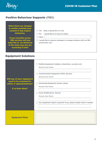

## Positive Behaviour Supports (PBS)

| <b>When there are changes</b><br>in routine (outside your<br>control) it may impact<br>behaviour.                                    | Yes - keep it going like it is now<br>No - I would like it to move to online                    |
|--------------------------------------------------------------------------------------------------------------------------------------|-------------------------------------------------------------------------------------------------|
| If you currently access<br><b>PBS services will you</b><br>want this to be delivered<br>in the same way you are<br>accessing it now? | Other<br>I would like to explore strategies to manage isolation with my PBS<br>practicioner now |

## Equipment Solutions

| Will any of your equipment<br>need to be reviewed for<br>safety or appropriateness?<br>If so then when? | Mobility Equipment (walkers, wheelchairs, scooters etc)<br>Review time-frame:<br><b>Communication Equipment (IPAD, devices)</b><br>Review time-frame:<br><b>Positioning Equipment (Hoists, sleep)</b><br><b>Review time-frame</b><br><b>Home Modifications Review</b><br><b>Review time-frame</b><br>Any equipment repairs required? If yes, please explain what is needed |
|---------------------------------------------------------------------------------------------------------|----------------------------------------------------------------------------------------------------------------------------------------------------------------------------------------------------------------------------------------------------------------------------------------------------------------------------------------------------------------------------|
| <b>Equipment Plans</b>                                                                                  |                                                                                                                                                                                                                                                                                                                                                                            |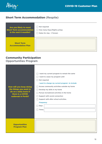

## **Short Term Accommodation (Respite)**

| Are you likely to need                         | Not required                        |
|------------------------------------------------|-------------------------------------|
| <b>Short Term accommodation</b>                | $\Box$ How many Days/Nights p/stay: |
| in the next 6 months?                          | Dates for stay - if known           |
| <b>Short Term</b><br><b>Accommodation Plan</b> |                                     |

#### Community Participation

#### Opportunities Program

|                                             | I want my current program to remain the same<br>I want to cease my program until |
|---------------------------------------------|----------------------------------------------------------------------------------|
|                                             | Not required                                                                     |
|                                             | I want to change my current program to include:                                  |
| How will you keep doing                     | Access community activities outside my home                                      |
| the things you want to                      | Develop my skills in my home                                                     |
| do on a daily basis if<br>there is a COVID  | Pursue recreational activities in the home                                       |
| outbreak in Perth?                          | Support with social connection                                                   |
|                                             | Support with after school activities.                                            |
|                                             | <b>Frequency</b>                                                                 |
|                                             | Days                                                                             |
|                                             | <b>Times</b>                                                                     |
|                                             |                                                                                  |
|                                             |                                                                                  |
| <b>Opportunities</b><br><b>Program Plan</b> |                                                                                  |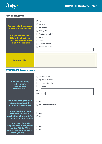

#### My Transport

| Are you reliant on anyone<br>for getting you places?<br>Will you need to think<br>differently about your<br>transport method if there<br>is a COVID outbreak? | <b>No</b><br>My family<br>My friends<br>L<br><b>Ability WA</b><br>Another organisation<br><b>Taxis</b><br><b>Ubers</b><br><b>Public transport</b><br><b>Alternative Plans:</b> |
|---------------------------------------------------------------------------------------------------------------------------------------------------------------|--------------------------------------------------------------------------------------------------------------------------------------------------------------------------------|
| <b>Transport Plan</b>                                                                                                                                         |                                                                                                                                                                                |

#### COVID-19 Awareness

| How are you going<br>to keep up to<br>date with the<br>exposure sites?                                                               | WA health link<br>My family member<br>My support worker<br>My friend<br><b>Name</b><br>Ph Number |
|--------------------------------------------------------------------------------------------------------------------------------------|--------------------------------------------------------------------------------------------------|
| Have you been provided<br>information about the<br><b>COVID-19 vaccination?</b>                                                      | Yes<br>No. I need information                                                                    |
| Do you need support to<br>discuss the COVID-19<br><b>Vaccination with your GP or</b><br>access vaccination clinics?                  | Yes<br>$\mathbf{I}$<br><b>No</b>                                                                 |
| If you have chosen to<br>suspend all services, would<br>you like Ability WA to<br>contact you periodically to<br>check you are safe? | Yes<br><b>No</b>                                                                                 |